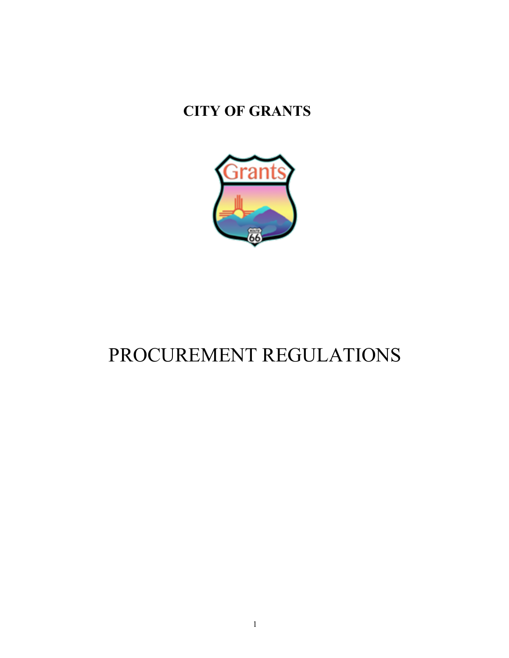# **CITY OF GRANTS**



# PROCUREMENT REGULATIONS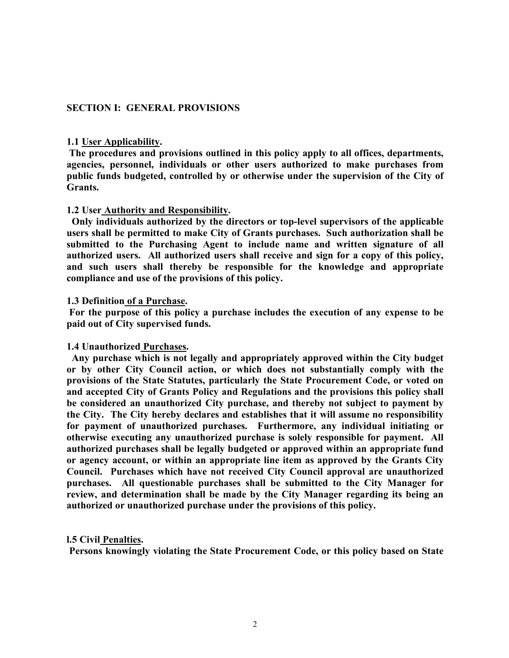#### **SECTION I: GENERAL PROVISIONS**

#### **1.1 User Applicability.**

**The procedures and provisions outlined in this policy apply to all offices, departments, agencies, personnel, individuals or other users authorized to make purchases from public funds budgeted, controlled by or otherwise under the supervision of the City of Grants.**

#### **1.2 User Authority and Responsibility.**

 **Only individuals authorized by the directors or top-level supervisors of the applicable users shall be permitted to make City of Grants purchases. Such authorization shall be submitted to the Purchasing Agent to include name and written signature of all authorized users. All authorized users shall receive and sign for a copy of this policy, and such users shall thereby be responsible for the knowledge and appropriate compliance and use of the provisions of this policy.**

#### **1.3 Definition of a Purchase.**

**For the purpose of this policy a purchase includes the execution of any expense to be paid out of City supervised funds.**

#### **1.4 Unauthorized Purchases.**

 **Any purchase which is not legally and appropriately approved within the City budget or by other City Council action, or which does not substantially comply with the provisions of the State Statutes, particularly the State Procurement Code, or voted on and accepted City of Grants Policy and Regulations and the provisions this policy shall be considered an unauthorized City purchase, and thereby not subject to payment by the City. The City hereby declares and establishes that it will assume no responsibility for payment of unauthorized purchases. Furthermore, any individual initiating or otherwise executing any unauthorized purchase is solely responsible for payment. All authorized purchases shall be legally budgeted or approved within an appropriate fund or agency account, or within an appropriate line item as approved by the Grants City Council. Purchases which have not received City Council approval are unauthorized purchases. All questionable purchases shall be submitted to the City Manager for review, and determination shall be made by the City Manager regarding its being an authorized or unauthorized purchase under the provisions of this policy.**

#### **l.5 Civil Penalties.**

**Persons knowingly violating the State Procurement Code, or this policy based on State**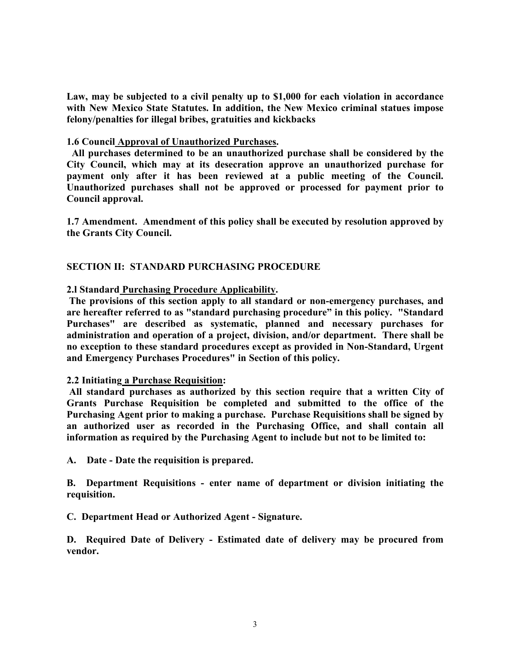**Law, may be subjected to a civil penalty up to \$1,000 for each violation in accordance with New Mexico State Statutes. In addition, the New Mexico criminal statues impose felony/penalties for illegal bribes, gratuities and kickbacks**

#### **1.6 Council Approval of Unauthorized Purchases.**

 **All purchases determined to be an unauthorized purchase shall be considered by the City Council, which may at its desecration approve an unauthorized purchase for payment only after it has been reviewed at a public meeting of the Council. Unauthorized purchases shall not be approved or processed for payment prior to Council approval.**

**1.7 Amendment. Amendment of this policy shall be executed by resolution approved by the Grants City Council.**

# **SECTION II: STANDARD PURCHASING PROCEDURE**

#### **2.l Standard Purchasing Procedure Applicability.**

**The provisions of this section apply to all standard or non-emergency purchases, and are hereafter referred to as "standard purchasing procedure" in this policy. "Standard Purchases" are described as systematic, planned and necessary purchases for administration and operation of a project, division, and/or department. There shall be no exception to these standard procedures except as provided in Non-Standard, Urgent and Emergency Purchases Procedures" in Section of this policy.**

#### **2.2 Initiating a Purchase Requisition:**

**All standard purchases as authorized by this section require that a written City of Grants Purchase Requisition be completed and submitted to the office of the Purchasing Agent prior to making a purchase. Purchase Requisitions shall be signed by an authorized user as recorded in the Purchasing Office, and shall contain all information as required by the Purchasing Agent to include but not to be limited to:**

**A. Date - Date the requisition is prepared.**

**B. Department Requisitions - enter name of department or division initiating the requisition.** 

**C. Department Head or Authorized Agent - Signature.**

**D. Required Date of Delivery - Estimated date of delivery may be procured from vendor.**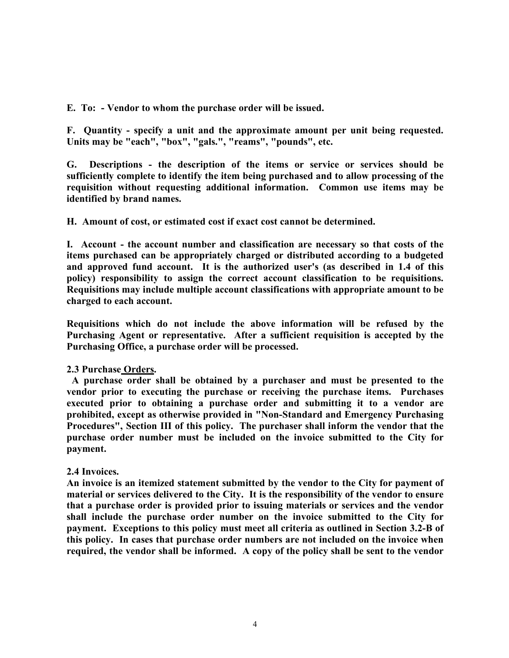**E. To: - Vendor to whom the purchase order will be issued.**

**F. Quantity - specify a unit and the approximate amount per unit being requested. Units may be "each", "box", "gals.", "reams", "pounds", etc.**

**G. Descriptions - the description of the items or service or services should be sufficiently complete to identify the item being purchased and to allow processing of the requisition without requesting additional information. Common use items may be identified by brand names.**

# **H. Amount of cost, or estimated cost if exact cost cannot be determined.**

**I. Account - the account number and classification are necessary so that costs of the items purchased can be appropriately charged or distributed according to a budgeted and approved fund account. It is the authorized user's (as described in 1.4 of this policy) responsibility to assign the correct account classification to be requisitions. Requisitions may include multiple account classifications with appropriate amount to be charged to each account.**

**Requisitions which do not include the above information will be refused by the Purchasing Agent or representative. After a sufficient requisition is accepted by the Purchasing Office, a purchase order will be processed.**

# **2.3 Purchase Orders.**

 **A purchase order shall be obtained by a purchaser and must be presented to the vendor prior to executing the purchase or receiving the purchase items. Purchases executed prior to obtaining a purchase order and submitting it to a vendor are prohibited, except as otherwise provided in "Non-Standard and Emergency Purchasing Procedures", Section III of this policy. The purchaser shall inform the vendor that the purchase order number must be included on the invoice submitted to the City for payment.**

#### **2.4 Invoices.**

**An invoice is an itemized statement submitted by the vendor to the City for payment of material or services delivered to the City. It is the responsibility of the vendor to ensure that a purchase order is provided prior to issuing materials or services and the vendor shall include the purchase order number on the invoice submitted to the City for payment. Exceptions to this policy must meet all criteria as outlined in Section 3.2-B of this policy. In cases that purchase order numbers are not included on the invoice when required, the vendor shall be informed. A copy of the policy shall be sent to the vendor**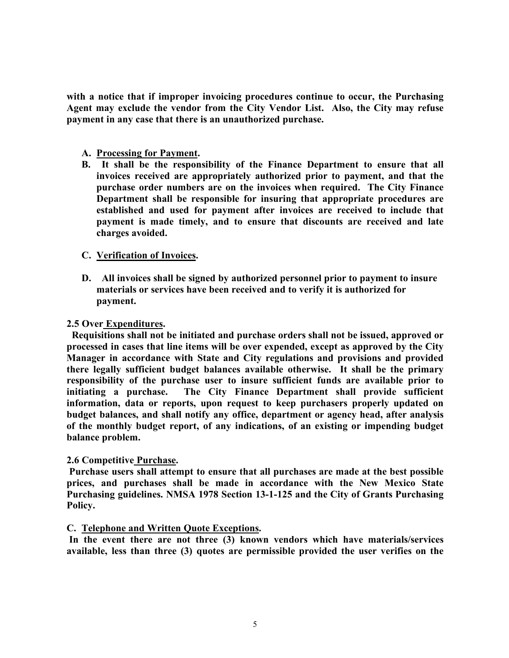**with a notice that if improper invoicing procedures continue to occur, the Purchasing Agent may exclude the vendor from the City Vendor List. Also, the City may refuse payment in any case that there is an unauthorized purchase.**

- **A. Processing for Payment.**
- **B. It shall be the responsibility of the Finance Department to ensure that all invoices received are appropriately authorized prior to payment, and that the purchase order numbers are on the invoices when required. The City Finance Department shall be responsible for insuring that appropriate procedures are established and used for payment after invoices are received to include that payment is made timely, and to ensure that discounts are received and late charges avoided.**

#### **C. Verification of Invoices.**

**D. All invoices shall be signed by authorized personnel prior to payment to insure materials or services have been received and to verify it is authorized for payment.**

#### **2.5 Over Expenditures.**

 **Requisitions shall not be initiated and purchase orders shall not be issued, approved or processed in cases that line items will be over expended, except as approved by the City Manager in accordance with State and City regulations and provisions and provided there legally sufficient budget balances available otherwise. It shall be the primary responsibility of the purchase user to insure sufficient funds are available prior to initiating a purchase. The City Finance Department shall provide sufficient information, data or reports, upon request to keep purchasers properly updated on budget balances, and shall notify any office, department or agency head, after analysis of the monthly budget report, of any indications, of an existing or impending budget balance problem.** 

#### **2.6 Competitive Purchase.**

**Purchase users shall attempt to ensure that all purchases are made at the best possible prices, and purchases shall be made in accordance with the New Mexico State Purchasing guidelines. NMSA 1978 Section 13-1-125 and the City of Grants Purchasing Policy.**

#### **C. Telephone and Written Quote Exceptions.**

**In the event there are not three (3) known vendors which have materials/services available, less than three (3) quotes are permissible provided the user verifies on the**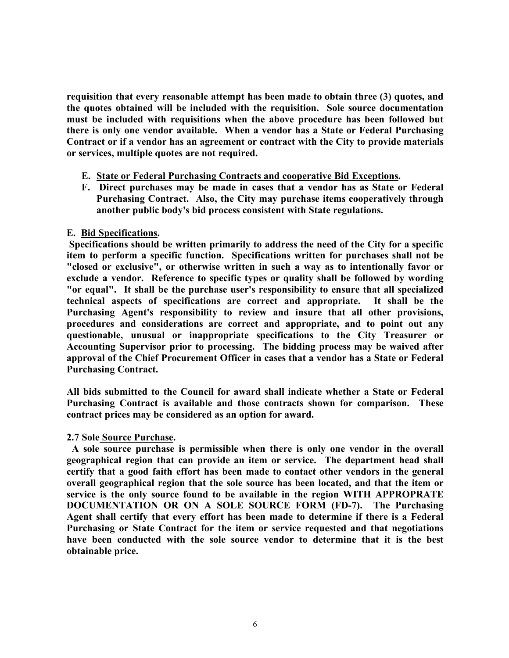**requisition that every reasonable attempt has been made to obtain three (3) quotes, and the quotes obtained will be included with the requisition. Sole source documentation must be included with requisitions when the above procedure has been followed but there is only one vendor available. When a vendor has a State or Federal Purchasing Contract or if a vendor has an agreement or contract with the City to provide materials or services, multiple quotes are not required.**

- **E. State or Federal Purchasing Contracts and cooperative Bid Exceptions.**
- **F. Direct purchases may be made in cases that a vendor has as State or Federal Purchasing Contract. Also, the City may purchase items cooperatively through another public body's bid process consistent with State regulations.**

# **E. Bid Specifications.**

**Specifications should be written primarily to address the need of the City for a specific item to perform a specific function. Specifications written for purchases shall not be "closed or exclusive", or otherwise written in such a way as to intentionally favor or exclude a vendor. Reference to specific types or quality shall be followed by wording "or equal". It shall be the purchase user's responsibility to ensure that all specialized technical aspects of specifications are correct and appropriate. It shall be the Purchasing Agent's responsibility to review and insure that all other provisions, procedures and considerations are correct and appropriate, and to point out any questionable, unusual or inappropriate specifications to the City Treasurer or Accounting Supervisor prior to processing. The bidding process may be waived after approval of the Chief Procurement Officer in cases that a vendor has a State or Federal Purchasing Contract.**

**All bids submitted to the Council for award shall indicate whether a State or Federal Purchasing Contract is available and those contracts shown for comparison. These contract prices may be considered as an option for award.**

#### **2.7 Sole Source Purchase.**

 **A sole source purchase is permissible when there is only one vendor in the overall geographical region that can provide an item or service. The department head shall certify that a good faith effort has been made to contact other vendors in the general overall geographical region that the sole source has been located, and that the item or service is the only source found to be available in the region WITH APPROPRATE DOCUMENTATION OR ON A SOLE SOURCE FORM (FD-7). The Purchasing Agent shall certify that every effort has been made to determine if there is a Federal Purchasing or State Contract for the item or service requested and that negotiations have been conducted with the sole source vendor to determine that it is the best obtainable price.**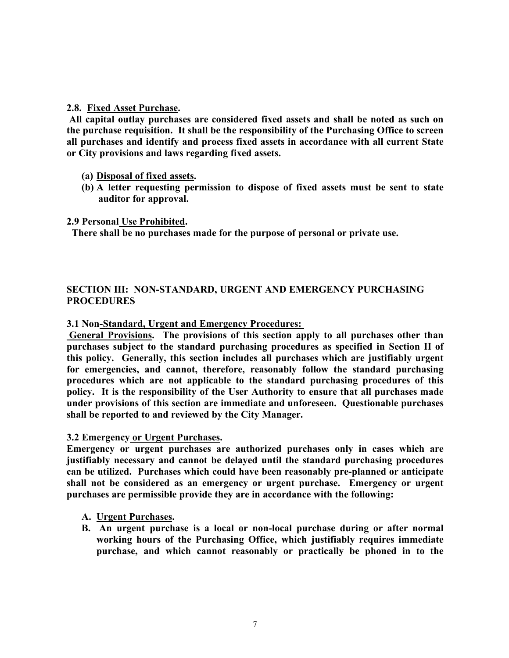# **2.8. Fixed Asset Purchase.**

**All capital outlay purchases are considered fixed assets and shall be noted as such on the purchase requisition. It shall be the responsibility of the Purchasing Office to screen all purchases and identify and process fixed assets in accordance with all current State or City provisions and laws regarding fixed assets.**

- **(a) Disposal of fixed assets.**
- **(b) A letter requesting permission to dispose of fixed assets must be sent to state auditor for approval.**

# **2.9 Personal Use Prohibited.**

 **There shall be no purchases made for the purpose of personal or private use.**

# **SECTION III: NON-STANDARD, URGENT AND EMERGENCY PURCHASING PROCEDURES**

# **3.1 Non-Standard, Urgent and Emergency Procedures:**

**General Provisions. The provisions of this section apply to all purchases other than purchases subject to the standard purchasing procedures as specified in Section II of this policy. Generally, this section includes all purchases which are justifiably urgent for emergencies, and cannot, therefore, reasonably follow the standard purchasing procedures which are not applicable to the standard purchasing procedures of this policy. It is the responsibility of the User Authority to ensure that all purchases made under provisions of this section are immediate and unforeseen. Questionable purchases shall be reported to and reviewed by the City Manager.**

# **3.2 Emergency or Urgent Purchases.**

**Emergency or urgent purchases are authorized purchases only in cases which are justifiably necessary and cannot be delayed until the standard purchasing procedures can be utilized. Purchases which could have been reasonably pre-planned or anticipate shall not be considered as an emergency or urgent purchase. Emergency or urgent purchases are permissible provide they are in accordance with the following:**

# **A. Urgent Purchases.**

**B. An urgent purchase is a local or non-local purchase during or after normal working hours of the Purchasing Office, which justifiably requires immediate purchase, and which cannot reasonably or practically be phoned in to the**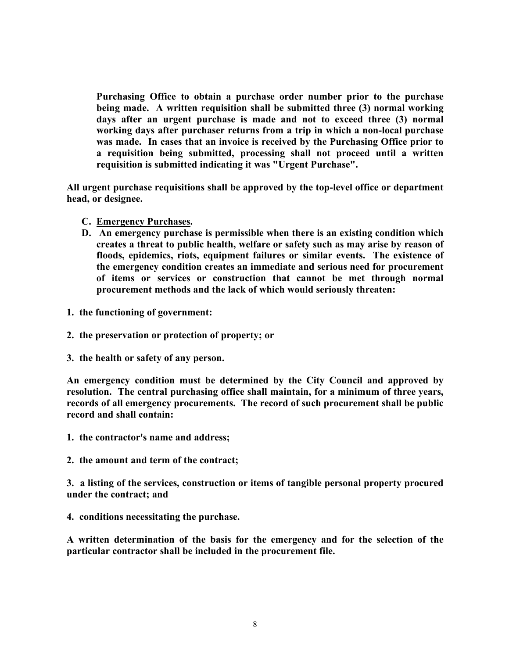**Purchasing Office to obtain a purchase order number prior to the purchase being made. A written requisition shall be submitted three (3) normal working days after an urgent purchase is made and not to exceed three (3) normal working days after purchaser returns from a trip in which a non-local purchase was made. In cases that an invoice is received by the Purchasing Office prior to a requisition being submitted, processing shall not proceed until a written requisition is submitted indicating it was "Urgent Purchase".** 

**All urgent purchase requisitions shall be approved by the top-level office or department head, or designee.**

- **C. Emergency Purchases.**
- **D. An emergency purchase is permissible when there is an existing condition which creates a threat to public health, welfare or safety such as may arise by reason of floods, epidemics, riots, equipment failures or similar events. The existence of the emergency condition creates an immediate and serious need for procurement of items or services or construction that cannot be met through normal procurement methods and the lack of which would seriously threaten:**
- **1. the functioning of government:**
- **2. the preservation or protection of property; or**
- **3. the health or safety of any person.**

**An emergency condition must be determined by the City Council and approved by resolution. The central purchasing office shall maintain, for a minimum of three years, records of all emergency procurements. The record of such procurement shall be public record and shall contain:**

- **1. the contractor's name and address;**
- **2. the amount and term of the contract;**

**3. a listing of the services, construction or items of tangible personal property procured under the contract; and**

**4. conditions necessitating the purchase.**

**A written determination of the basis for the emergency and for the selection of the particular contractor shall be included in the procurement file.**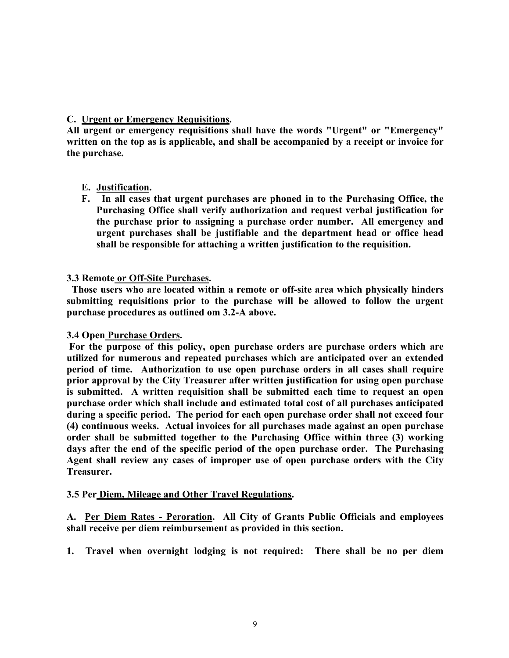# **C. Urgent or Emergency Requisitions.**

**All urgent or emergency requisitions shall have the words "Urgent" or "Emergency" written on the top as is applicable, and shall be accompanied by a receipt or invoice for the purchase.**

# **E. Justification.**

**F. In all cases that urgent purchases are phoned in to the Purchasing Office, the Purchasing Office shall verify authorization and request verbal justification for the purchase prior to assigning a purchase order number. All emergency and urgent purchases shall be justifiable and the department head or office head shall be responsible for attaching a written justification to the requisition.**

# **3.3 Remote or Off-Site Purchases.**

 **Those users who are located within a remote or off-site area which physically hinders submitting requisitions prior to the purchase will be allowed to follow the urgent purchase procedures as outlined om 3.2-A above.**

# **3.4 Open Purchase Orders.**

**For the purpose of this policy, open purchase orders are purchase orders which are utilized for numerous and repeated purchases which are anticipated over an extended period of time. Authorization to use open purchase orders in all cases shall require prior approval by the City Treasurer after written justification for using open purchase is submitted. A written requisition shall be submitted each time to request an open purchase order which shall include and estimated total cost of all purchases anticipated during a specific period. The period for each open purchase order shall not exceed four (4) continuous weeks. Actual invoices for all purchases made against an open purchase order shall be submitted together to the Purchasing Office within three (3) working days after the end of the specific period of the open purchase order. The Purchasing Agent shall review any cases of improper use of open purchase orders with the City Treasurer.**

# **3.5 Per Diem, Mileage and Other Travel Regulations.**

**A. Per Diem Rates - Peroration. All City of Grants Public Officials and employees shall receive per diem reimbursement as provided in this section.**

**1. Travel when overnight lodging is not required: There shall be no per diem**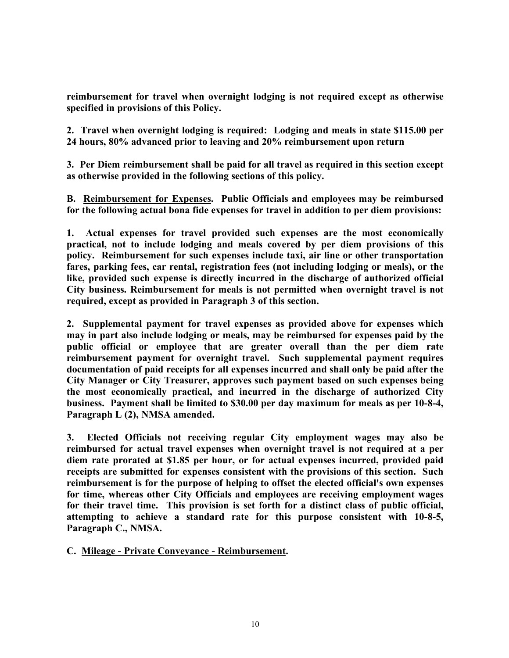**reimbursement for travel when overnight lodging is not required except as otherwise specified in provisions of this Policy.**

**2. Travel when overnight lodging is required: Lodging and meals in state \$115.00 per 24 hours, 80% advanced prior to leaving and 20% reimbursement upon return**

**3. Per Diem reimbursement shall be paid for all travel as required in this section except as otherwise provided in the following sections of this policy.**

**B. Reimbursement for Expenses. Public Officials and employees may be reimbursed for the following actual bona fide expenses for travel in addition to per diem provisions:**

**1. Actual expenses for travel provided such expenses are the most economically practical, not to include lodging and meals covered by per diem provisions of this policy. Reimbursement for such expenses include taxi, air line or other transportation fares, parking fees, car rental, registration fees (not including lodging or meals), or the like, provided such expense is directly incurred in the discharge of authorized official City business. Reimbursement for meals is not permitted when overnight travel is not required, except as provided in Paragraph 3 of this section.**

**2. Supplemental payment for travel expenses as provided above for expenses which may in part also include lodging or meals, may be reimbursed for expenses paid by the public official or employee that are greater overall than the per diem rate reimbursement payment for overnight travel. Such supplemental payment requires documentation of paid receipts for all expenses incurred and shall only be paid after the City Manager or City Treasurer, approves such payment based on such expenses being the most economically practical, and incurred in the discharge of authorized City business. Payment shall be limited to \$30.00 per day maximum for meals as per 10-8-4, Paragraph L (2), NMSA amended.**

**3. Elected Officials not receiving regular City employment wages may also be reimbursed for actual travel expenses when overnight travel is not required at a per diem rate prorated at \$1.85 per hour, or for actual expenses incurred, provided paid receipts are submitted for expenses consistent with the provisions of this section. Such reimbursement is for the purpose of helping to offset the elected official's own expenses for time, whereas other City Officials and employees are receiving employment wages for their travel time. This provision is set forth for a distinct class of public official, attempting to achieve a standard rate for this purpose consistent with 10-8-5, Paragraph C., NMSA.**

**C. Mileage - Private Conveyance - Reimbursement.**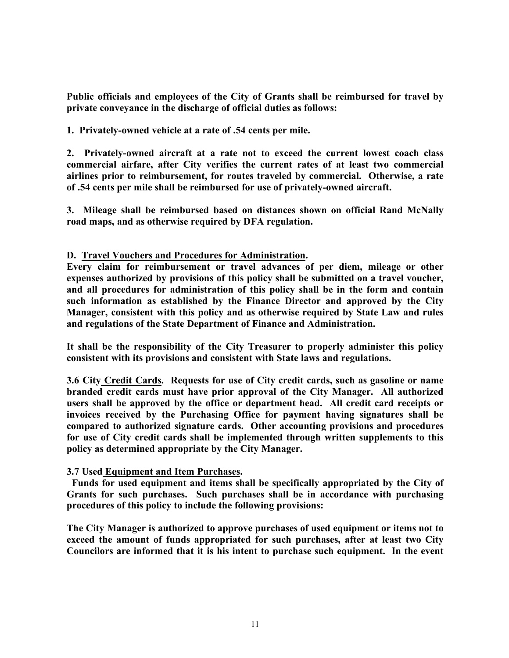**Public officials and employees of the City of Grants shall be reimbursed for travel by private conveyance in the discharge of official duties as follows:**

**1. Privately-owned vehicle at a rate of .54 cents per mile.**

**2. Privately-owned aircraft at a rate not to exceed the current lowest coach class commercial airfare, after City verifies the current rates of at least two commercial airlines prior to reimbursement, for routes traveled by commercial. Otherwise, a rate of .54 cents per mile shall be reimbursed for use of privately-owned aircraft.**

**3. Mileage shall be reimbursed based on distances shown on official Rand McNally road maps, and as otherwise required by DFA regulation.**

# **D. Travel Vouchers and Procedures for Administration.**

**Every claim for reimbursement or travel advances of per diem, mileage or other expenses authorized by provisions of this policy shall be submitted on a travel voucher, and all procedures for administration of this policy shall be in the form and contain such information as established by the Finance Director and approved by the City Manager, consistent with this policy and as otherwise required by State Law and rules and regulations of the State Department of Finance and Administration.**

**It shall be the responsibility of the City Treasurer to properly administer this policy consistent with its provisions and consistent with State laws and regulations.**

**3.6 City Credit Cards. Requests for use of City credit cards, such as gasoline or name branded credit cards must have prior approval of the City Manager. All authorized users shall be approved by the office or department head. All credit card receipts or invoices received by the Purchasing Office for payment having signatures shall be compared to authorized signature cards. Other accounting provisions and procedures for use of City credit cards shall be implemented through written supplements to this policy as determined appropriate by the City Manager.**

# **3.7 Used Equipment and Item Purchases.**

 **Funds for used equipment and items shall be specifically appropriated by the City of Grants for such purchases. Such purchases shall be in accordance with purchasing procedures of this policy to include the following provisions:**

**The City Manager is authorized to approve purchases of used equipment or items not to exceed the amount of funds appropriated for such purchases, after at least two City Councilors are informed that it is his intent to purchase such equipment. In the event**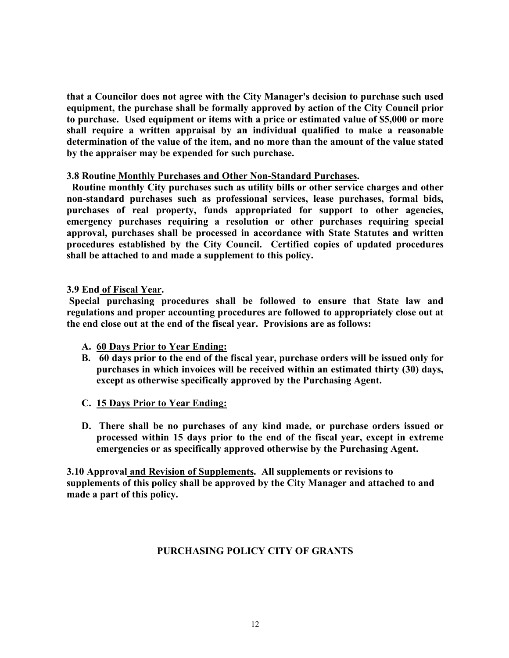**that a Councilor does not agree with the City Manager's decision to purchase such used equipment, the purchase shall be formally approved by action of the City Council prior to purchase. Used equipment or items with a price or estimated value of \$5,000 or more shall require a written appraisal by an individual qualified to make a reasonable determination of the value of the item, and no more than the amount of the value stated by the appraiser may be expended for such purchase.**

# **3.8 Routine Monthly Purchases and Other Non-Standard Purchases.**

 **Routine monthly City purchases such as utility bills or other service charges and other non-standard purchases such as professional services, lease purchases, formal bids, purchases of real property, funds appropriated for support to other agencies, emergency purchases requiring a resolution or other purchases requiring special approval, purchases shall be processed in accordance with State Statutes and written procedures established by the City Council. Certified copies of updated procedures shall be attached to and made a supplement to this policy.**

# **3.9 End of Fiscal Year.**

**Special purchasing procedures shall be followed to ensure that State law and regulations and proper accounting procedures are followed to appropriately close out at the end close out at the end of the fiscal year. Provisions are as follows:**

- **A. 60 Days Prior to Year Ending:**
- **B. 60 days prior to the end of the fiscal year, purchase orders will be issued only for purchases in which invoices will be received within an estimated thirty (30) days, except as otherwise specifically approved by the Purchasing Agent.**
- **C. 15 Days Prior to Year Ending:**
- **D. There shall be no purchases of any kind made, or purchase orders issued or processed within 15 days prior to the end of the fiscal year, except in extreme emergencies or as specifically approved otherwise by the Purchasing Agent.**

**3.10 Approval and Revision of Supplements. All supplements or revisions to supplements of this policy shall be approved by the City Manager and attached to and made a part of this policy.**

# **PURCHASING POLICY CITY OF GRANTS**